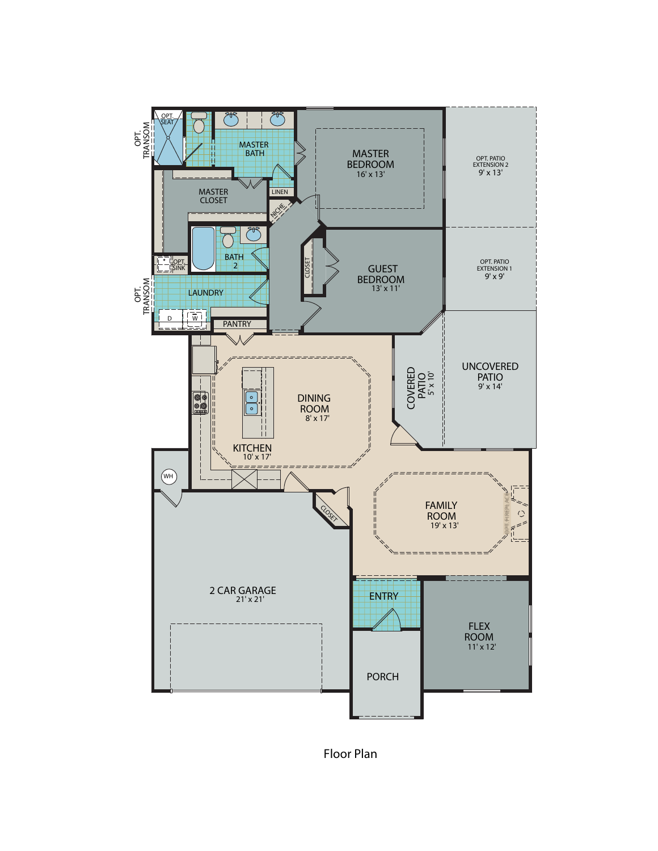

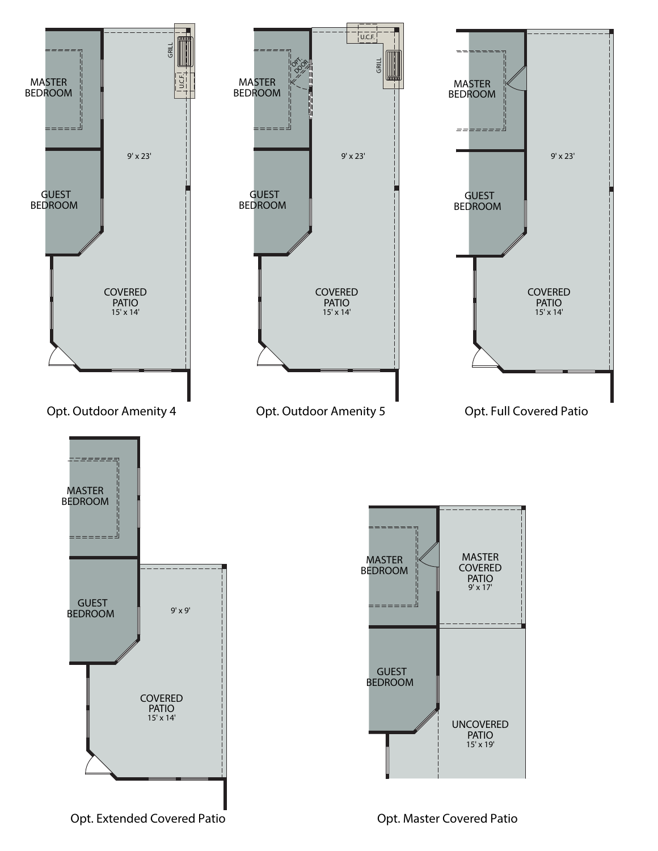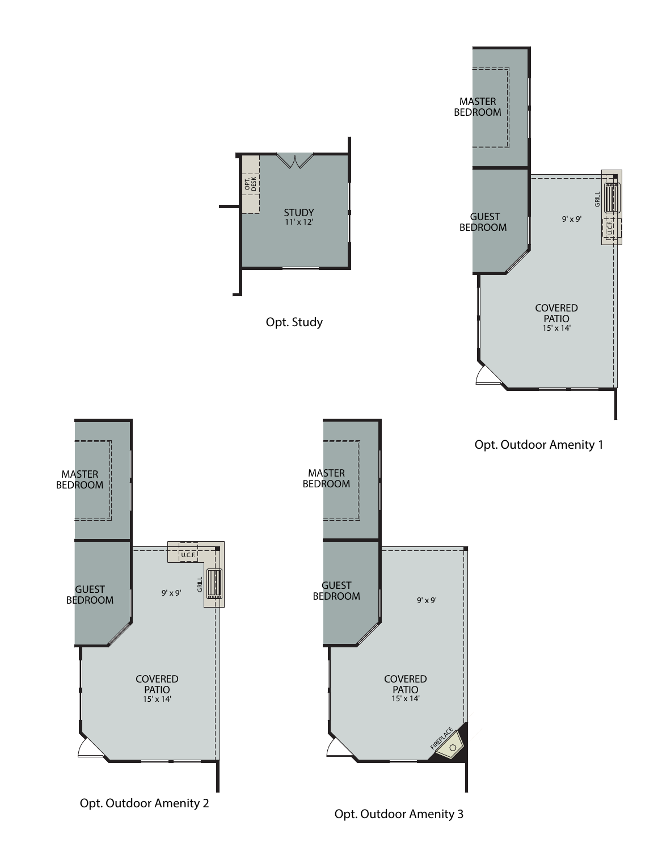

*Opt. Outdoor Amenity 3*